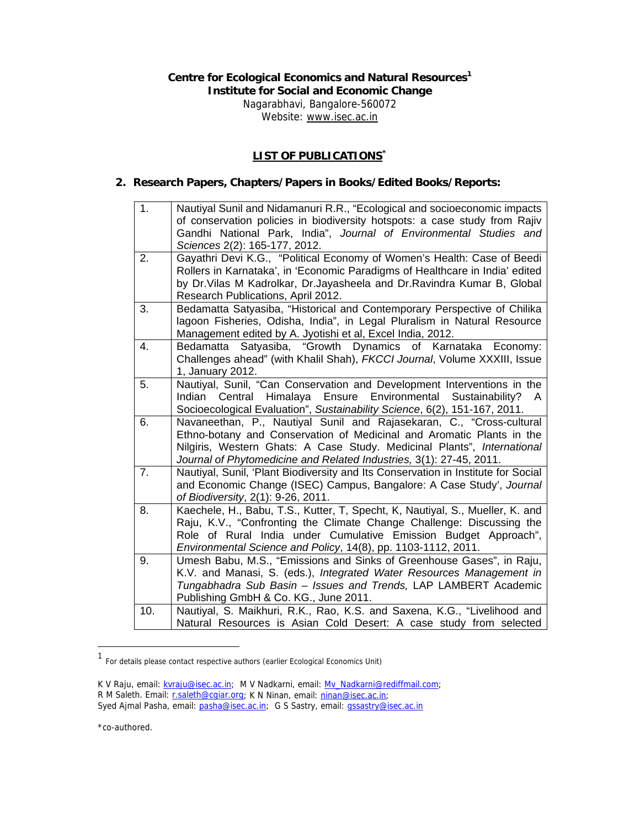## **Centre for Ecological Economics and Natural Resources<sup>1</sup> Institute for Social and Economic Change**

Nagarabhavi, Bangalore-560072 Website: www.isec.ac.in

## **LIST OF PUBLICATIONS\***

## **2. Research Papers, Chapters/Papers in Books/Edited Books/Reports:**

| 1.  | Nautiyal Sunil and Nidamanuri R.R., "Ecological and socioeconomic impacts<br>of conservation policies in biodiversity hotspots: a case study from Rajiv<br>Gandhi National Park, India", Journal of Environmental Studies and<br>Sciences 2(2): 165-177, 2012.                                  |
|-----|-------------------------------------------------------------------------------------------------------------------------------------------------------------------------------------------------------------------------------------------------------------------------------------------------|
| 2.  | Gayathri Devi K.G., "Political Economy of Women's Health: Case of Beedi<br>Rollers in Karnataka', in 'Economic Paradigms of Healthcare in India' edited<br>by Dr. Vilas M Kadrolkar, Dr. Jayasheela and Dr. Ravindra Kumar B, Global<br>Research Publications, April 2012.                      |
| 3.  | Bedamatta Satyasiba, "Historical and Contemporary Perspective of Chilika<br>lagoon Fisheries, Odisha, India", in Legal Pluralism in Natural Resource<br>Management edited by A. Jyotishi et al, Excel India, 2012.                                                                              |
| 4.  | Bedamatta Satyasiba, "Growth Dynamics of Karnataka<br>Economy:<br>Challenges ahead" (with Khalil Shah), FKCCI Journal, Volume XXXIII, Issue<br>1, January 2012.                                                                                                                                 |
| 5.  | Nautiyal, Sunil, "Can Conservation and Development Interventions in the<br>Ensure<br>Himalaya<br>Environmental<br>Sustainability?<br>Indian<br>Central<br>A<br>Socioecological Evaluation", Sustainability Science, 6(2), 151-167, 2011.                                                        |
| 6.  | Navaneethan, P., Nautiyal Sunil and Rajasekaran, C., "Cross-cultural<br>Ethno-botany and Conservation of Medicinal and Aromatic Plants in the<br>Nilgiris, Western Ghats: A Case Study. Medicinal Plants", International<br>Journal of Phytomedicine and Related Industries, 3(1): 27-45, 2011. |
| 7.  | Nautiyal, Sunil, 'Plant Biodiversity and Its Conservation in Institute for Social<br>and Economic Change (ISEC) Campus, Bangalore: A Case Study', Journal<br>of Biodiversity, 2(1): 9-26, 2011.                                                                                                 |
| 8.  | Kaechele, H., Babu, T.S., Kutter, T, Specht, K, Nautiyal, S., Mueller, K. and<br>Raju, K.V., "Confronting the Climate Change Challenge: Discussing the<br>Role of Rural India under Cumulative Emission Budget Approach",<br>Environmental Science and Policy, 14(8), pp. 1103-1112, 2011.      |
| 9.  | Umesh Babu, M.S., "Emissions and Sinks of Greenhouse Gases", in Raju,<br>K.V. and Manasi, S. (eds.), Integrated Water Resources Management in<br>Tungabhadra Sub Basin - Issues and Trends, LAP LAMBERT Academic<br>Publishing GmbH & Co. KG., June 2011.                                       |
| 10. | Nautiyal, S. Maikhuri, R.K., Rao, K.S. and Saxena, K.G., "Livelihood and<br>Natural Resources is Asian Cold Desert: A case study from selected                                                                                                                                                  |

<sup>1</sup> For details please contact respective authors (earlier Ecological Economics Unit)

\*co-authored.

 $\overline{a}$ 

K V Raju, email: *kvraju@isec.ac.in;* M V Nadkarni, email: <u>Mv Nadkarni@rediffmail.com</u>; R M Saleth. Email: r.saleth@cgiar.org; K N Ninan, email: ninan@isec.ac.in; Syed Ajmal Pasha, email: pasha@isec.ac.in; G S Sastry, email: gssastry@isec.ac.in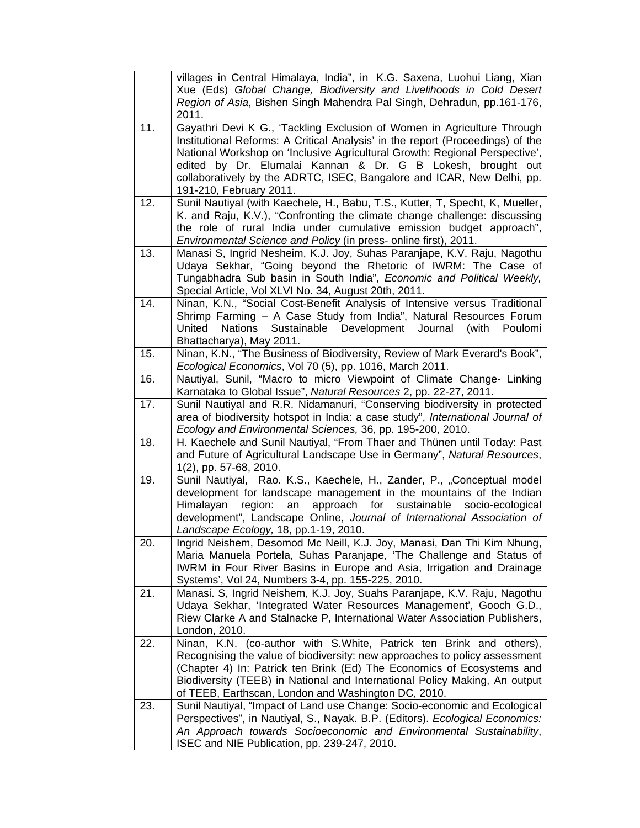|     | villages in Central Himalaya, India", in K.G. Saxena, Luohui Liang, Xian<br>Xue (Eds) Global Change, Biodiversity and Livelihoods in Cold Desert<br>Region of Asia, Bishen Singh Mahendra Pal Singh, Dehradun, pp.161-176,<br>2011.                                                                                                                                                                          |
|-----|--------------------------------------------------------------------------------------------------------------------------------------------------------------------------------------------------------------------------------------------------------------------------------------------------------------------------------------------------------------------------------------------------------------|
| 11. | Gayathri Devi K G., 'Tackling Exclusion of Women in Agriculture Through<br>Institutional Reforms: A Critical Analysis' in the report (Proceedings) of the<br>National Workshop on 'Inclusive Agricultural Growth: Regional Perspective',<br>edited by Dr. Elumalai Kannan & Dr. G B Lokesh, brought out<br>collaboratively by the ADRTC, ISEC, Bangalore and ICAR, New Delhi, pp.<br>191-210, February 2011. |
| 12. | Sunil Nautiyal (with Kaechele, H., Babu, T.S., Kutter, T, Specht, K, Mueller,<br>K. and Raju, K.V.), "Confronting the climate change challenge: discussing<br>the role of rural India under cumulative emission budget approach",<br>Environmental Science and Policy (in press- online first), 2011.                                                                                                        |
| 13. | Manasi S, Ingrid Nesheim, K.J. Joy, Suhas Paranjape, K.V. Raju, Nagothu<br>Udaya Sekhar, "Going beyond the Rhetoric of IWRM: The Case of<br>Tungabhadra Sub basin in South India", Economic and Political Weekly,<br>Special Article, Vol XLVI No. 34, August 20th, 2011.                                                                                                                                    |
| 14. | Ninan, K.N., "Social Cost-Benefit Analysis of Intensive versus Traditional<br>Shrimp Farming - A Case Study from India", Natural Resources Forum<br>United<br><b>Nations</b><br>Sustainable Development Journal<br>(with<br>Poulomi<br>Bhattacharya), May 2011.                                                                                                                                              |
| 15. | Ninan, K.N., "The Business of Biodiversity, Review of Mark Everard's Book",<br>Ecological Economics, Vol 70 (5), pp. 1016, March 2011.                                                                                                                                                                                                                                                                       |
| 16. | Nautiyal, Sunil, "Macro to micro Viewpoint of Climate Change- Linking<br>Karnataka to Global Issue", Natural Resources 2, pp. 22-27, 2011.                                                                                                                                                                                                                                                                   |
| 17. | Sunil Nautiyal and R.R. Nidamanuri, "Conserving biodiversity in protected<br>area of biodiversity hotspot in India: a case study", International Journal of<br>Ecology and Environmental Sciences, 36, pp. 195-200, 2010.                                                                                                                                                                                    |
| 18. | H. Kaechele and Sunil Nautiyal, "From Thaer and Thünen until Today: Past<br>and Future of Agricultural Landscape Use in Germany", Natural Resources,<br>1(2), pp. 57-68, 2010.                                                                                                                                                                                                                               |
| 19. | Sunil Nautiyal, Rao. K.S., Kaechele, H., Zander, P., "Conceptual model<br>development for landscape management in the mountains of the Indian<br>approach for<br>sustainable<br>socio-ecological<br>Himalayan<br>region:<br>an<br>development", Landscape Online, Journal of International Association of<br>Landscape Ecology, 18, pp.1-19, 2010.                                                           |
| 20. | Ingrid Neishem, Desomod Mc Neill, K.J. Joy, Manasi, Dan Thi Kim Nhung,<br>Maria Manuela Portela, Suhas Paranjape, 'The Challenge and Status of<br>IWRM in Four River Basins in Europe and Asia, Irrigation and Drainage<br>Systems', Vol 24, Numbers 3-4, pp. 155-225, 2010.                                                                                                                                 |
| 21. | Manasi. S, Ingrid Neishem, K.J. Joy, Suahs Paranjape, K.V. Raju, Nagothu<br>Udaya Sekhar, 'Integrated Water Resources Management', Gooch G.D.,<br>Riew Clarke A and Stalnacke P, International Water Association Publishers,<br>London, 2010.                                                                                                                                                                |
| 22. | Ninan, K.N. (co-author with S.White, Patrick ten Brink and others),<br>Recognising the value of biodiversity: new approaches to policy assessment<br>(Chapter 4) In: Patrick ten Brink (Ed) The Economics of Ecosystems and<br>Biodiversity (TEEB) in National and International Policy Making, An output<br>of TEEB, Earthscan, London and Washington DC, 2010.                                             |
| 23. | Sunil Nautiyal, "Impact of Land use Change: Socio-economic and Ecological<br>Perspectives", in Nautiyal, S., Nayak. B.P. (Editors). Ecological Economics:<br>An Approach towards Socioeconomic and Environmental Sustainability,<br>ISEC and NIE Publication, pp. 239-247, 2010.                                                                                                                             |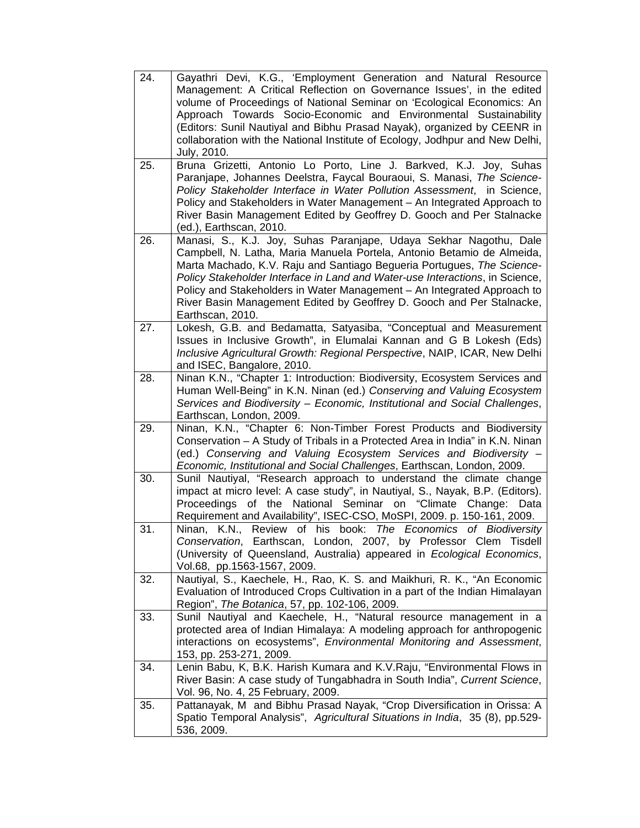| 24. | Gayathri Devi, K.G., 'Employment Generation and Natural Resource<br>Management: A Critical Reflection on Governance Issues', in the edited<br>volume of Proceedings of National Seminar on 'Ecological Economics: An<br>Approach Towards Socio-Economic and Environmental Sustainability<br>(Editors: Sunil Nautiyal and Bibhu Prasad Nayak), organized by CEENR in<br>collaboration with the National Institute of Ecology, Jodhpur and New Delhi,<br>July, 2010.            |
|-----|-------------------------------------------------------------------------------------------------------------------------------------------------------------------------------------------------------------------------------------------------------------------------------------------------------------------------------------------------------------------------------------------------------------------------------------------------------------------------------|
| 25. | Bruna Grizetti, Antonio Lo Porto, Line J. Barkved, K.J. Joy, Suhas<br>Paranjape, Johannes Deelstra, Faycal Bouraoui, S. Manasi, The Science-<br>Policy Stakeholder Interface in Water Pollution Assessment, in Science,<br>Policy and Stakeholders in Water Management - An Integrated Approach to<br>River Basin Management Edited by Geoffrey D. Gooch and Per Stalnacke<br>(ed.), Earthscan, 2010.                                                                         |
| 26. | Manasi, S., K.J. Joy, Suhas Paranjape, Udaya Sekhar Nagothu, Dale<br>Campbell, N. Latha, Maria Manuela Portela, Antonio Betamio de Almeida,<br>Marta Machado, K.V. Raju and Santiago Begueria Portugues, The Science-<br>Policy Stakeholder Interface in Land and Water-use Interactions, in Science,<br>Policy and Stakeholders in Water Management - An Integrated Approach to<br>River Basin Management Edited by Geoffrey D. Gooch and Per Stalnacke,<br>Earthscan, 2010. |
| 27. | Lokesh, G.B. and Bedamatta, Satyasiba, "Conceptual and Measurement<br>Issues in Inclusive Growth", in Elumalai Kannan and G B Lokesh (Eds)<br>Inclusive Agricultural Growth: Regional Perspective, NAIP, ICAR, New Delhi<br>and ISEC, Bangalore, 2010.                                                                                                                                                                                                                        |
| 28. | Ninan K.N., "Chapter 1: Introduction: Biodiversity, Ecosystem Services and<br>Human Well-Being" in K.N. Ninan (ed.) Conserving and Valuing Ecosystem<br>Services and Biodiversity - Economic, Institutional and Social Challenges,<br>Earthscan, London, 2009.                                                                                                                                                                                                                |
| 29. | Ninan, K.N., "Chapter 6: Non-Timber Forest Products and Biodiversity<br>Conservation – A Study of Tribals in a Protected Area in India" in K.N. Ninan<br>(ed.) Conserving and Valuing Ecosystem Services and Biodiversity -<br>Economic, Institutional and Social Challenges, Earthscan, London, 2009.                                                                                                                                                                        |
| 30. | Sunil Nautiyal, "Research approach to understand the climate change<br>impact at micro level: A case study", in Nautiyal, S., Nayak, B.P. (Editors).<br>Proceedings of the National Seminar on "Climate Change:<br>Data<br>Requirement and Availability", ISEC-CSO, MoSPI, 2009. p. 150-161, 2009.                                                                                                                                                                            |
| 31. | Ninan, K.N., Review of his book: The Economics of Biodiversity<br>Conservation, Earthscan, London, 2007, by Professor Clem Tisdell<br>(University of Queensland, Australia) appeared in Ecological Economics,<br>Vol.68, pp.1563-1567, 2009.                                                                                                                                                                                                                                  |
| 32. | Nautiyal, S., Kaechele, H., Rao, K. S. and Maikhuri, R. K., "An Economic<br>Evaluation of Introduced Crops Cultivation in a part of the Indian Himalayan<br>Region", The Botanica, 57, pp. 102-106, 2009.                                                                                                                                                                                                                                                                     |
| 33. | Sunil Nautiyal and Kaechele, H., "Natural resource management in a<br>protected area of Indian Himalaya: A modeling approach for anthropogenic<br>interactions on ecosystems", Environmental Monitoring and Assessment,<br>153, pp. 253-271, 2009.                                                                                                                                                                                                                            |
| 34. | Lenin Babu, K, B.K. Harish Kumara and K.V. Raju, "Environmental Flows in<br>River Basin: A case study of Tungabhadra in South India", Current Science,<br>Vol. 96, No. 4, 25 February, 2009.                                                                                                                                                                                                                                                                                  |
| 35. | Pattanayak, M and Bibhu Prasad Nayak, "Crop Diversification in Orissa: A<br>Spatio Temporal Analysis", Agricultural Situations in India, 35 (8), pp.529-<br>536, 2009.                                                                                                                                                                                                                                                                                                        |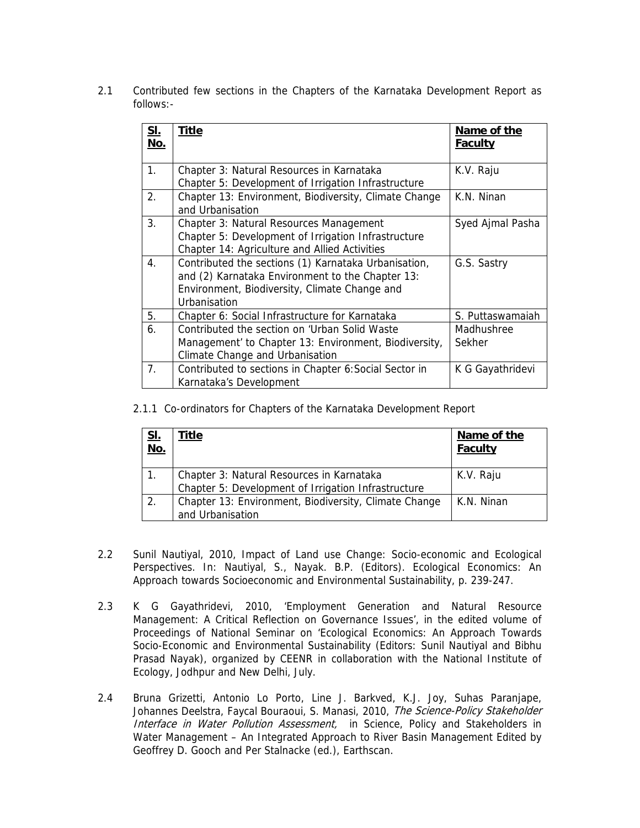2.1 Contributed few sections in the Chapters of the Karnataka Development Report as follows:-

| <u>SI.</u><br>No. | <u>Title</u>                                                                                                                                                              | Name of the<br><b>Faculty</b> |
|-------------------|---------------------------------------------------------------------------------------------------------------------------------------------------------------------------|-------------------------------|
| 1 <sub>1</sub>    | Chapter 3: Natural Resources in Karnataka<br>Chapter 5: Development of Irrigation Infrastructure                                                                          | K.V. Raju                     |
| 2.                | Chapter 13: Environment, Biodiversity, Climate Change<br>and Urbanisation                                                                                                 | K.N. Ninan                    |
| 3.                | Chapter 3: Natural Resources Management<br>Chapter 5: Development of Irrigation Infrastructure<br>Chapter 14: Agriculture and Allied Activities                           | Syed Ajmal Pasha              |
| 4.                | Contributed the sections (1) Karnataka Urbanisation,<br>and (2) Karnataka Environment to the Chapter 13:<br>Environment, Biodiversity, Climate Change and<br>Urbanisation | G.S. Sastry                   |
| 5.                | Chapter 6: Social Infrastructure for Karnataka                                                                                                                            | S. Puttaswamaiah              |
| 6.                | Contributed the section on 'Urban Solid Waste<br>Management' to Chapter 13: Environment, Biodiversity,<br>Climate Change and Urbanisation                                 | Madhushree<br>Sekher          |
| 7.                | Contributed to sections in Chapter 6: Social Sector in<br>Karnataka's Development                                                                                         | K G Gayathridevi              |

2.1.1 Co-ordinators for Chapters of the Karnataka Development Report

| <u>SI.</u><br><u>No.</u> | Title                                                 | Name of the<br><b>Faculty</b> |
|--------------------------|-------------------------------------------------------|-------------------------------|
|                          | Chapter 3: Natural Resources in Karnataka             | K.V. Raju                     |
|                          | Chapter 5: Development of Irrigation Infrastructure   |                               |
| 2.                       | Chapter 13: Environment, Biodiversity, Climate Change | K.N. Ninan                    |
|                          | and Urbanisation                                      |                               |

- 2.2 Sunil Nautiyal, 2010, Impact of Land use Change: Socio-economic and Ecological Perspectives. In: Nautiyal, S., Nayak. B.P. (Editors). Ecological Economics: An Approach towards Socioeconomic and Environmental Sustainability, p. 239-247.
- 2.3 K G Gayathridevi, 2010, 'Employment Generation and Natural Resource Management: A Critical Reflection on Governance Issues', in the edited volume of Proceedings of National Seminar on 'Ecological Economics: An Approach Towards Socio-Economic and Environmental Sustainability (Editors: Sunil Nautiyal and Bibhu Prasad Nayak), organized by CEENR in collaboration with the National Institute of Ecology, Jodhpur and New Delhi, July.
- 2.4 Bruna Grizetti, Antonio Lo Porto, Line J. Barkved, K.J. Joy, Suhas Paranjape, Johannes Deelstra, Faycal Bouraoui, S. Manasi, 2010, The Science-Policy Stakeholder Interface in Water Pollution Assessment, in Science, Policy and Stakeholders in Water Management – An Integrated Approach to River Basin Management Edited by Geoffrey D. Gooch and Per Stalnacke (ed.), Earthscan.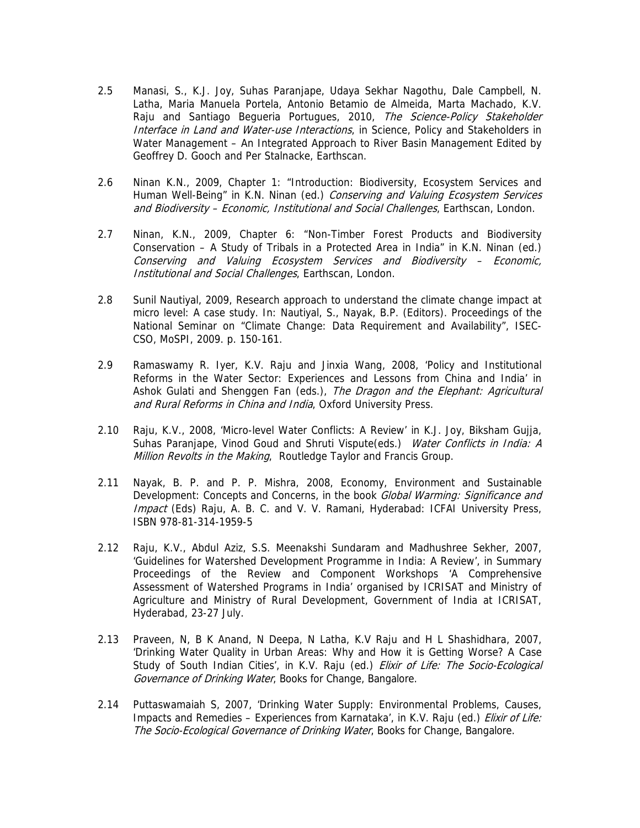- 2.5 Manasi, S., K.J. Joy, Suhas Paranjape, Udaya Sekhar Nagothu, Dale Campbell, N. Latha, Maria Manuela Portela, Antonio Betamio de Almeida, Marta Machado, K.V. Raju and Santiago Begueria Portugues, 2010, The Science-Policy Stakeholder Interface in Land and Water-use Interactions, in Science, Policy and Stakeholders in Water Management – An Integrated Approach to River Basin Management Edited by Geoffrey D. Gooch and Per Stalnacke, Earthscan.
- 2.6 Ninan K.N., 2009, Chapter 1: "Introduction: Biodiversity, Ecosystem Services and Human Well-Being" in K.N. Ninan (ed.) Conserving and Valuing Ecosystem Services and Biodiversity – Economic, Institutional and Social Challenges, Earthscan, London.
- 2.7 Ninan, K.N., 2009, Chapter 6: "Non-Timber Forest Products and Biodiversity Conservation – A Study of Tribals in a Protected Area in India" in K.N. Ninan (ed.) Conserving and Valuing Ecosystem Services and Biodiversity – Economic, Institutional and Social Challenges, Earthscan, London.
- 2.8 Sunil Nautiyal, 2009, Research approach to understand the climate change impact at micro level: A case study. In: Nautiyal, S., Nayak, B.P. (Editors). Proceedings of the National Seminar on "Climate Change: Data Requirement and Availability", ISEC-CSO, MoSPI, 2009. p. 150-161.
- 2.9 Ramaswamy R. Iyer, K.V. Raju and Jinxia Wang, 2008, 'Policy and Institutional Reforms in the Water Sector: Experiences and Lessons from China and India' in Ashok Gulati and Shenggen Fan (eds.), The Dragon and the Elephant: Agricultural and Rural Reforms in China and India, Oxford University Press.
- 2.10 Raju, K.V., 2008, 'Micro-level Water Conflicts: A Review' in K.J. Joy, Biksham Gujja, Suhas Paranjape, Vinod Goud and Shruti Vispute(eds.) Water Conflicts in India: A Million Revolts in the Making, Routledge Taylor and Francis Group.
- 2.11 Nayak, B. P. and P. P. Mishra, 2008, Economy, Environment and Sustainable Development: Concepts and Concerns, in the book Global Warming: Significance and Impact (Eds) Raju, A. B. C. and V. V. Ramani, Hyderabad: ICFAI University Press, ISBN 978-81-314-1959-5
- 2.12 Raju, K.V., Abdul Aziz, S.S. Meenakshi Sundaram and Madhushree Sekher, 2007, 'Guidelines for Watershed Development Programme in India: A Review', in Summary Proceedings of the Review and Component Workshops 'A Comprehensive Assessment of Watershed Programs in India' organised by ICRISAT and Ministry of Agriculture and Ministry of Rural Development, Government of India at ICRISAT, Hyderabad, 23-27 July.
- 2.13 Praveen, N, B K Anand, N Deepa, N Latha, K.V Raju and H L Shashidhara, 2007, 'Drinking Water Quality in Urban Areas: Why and How it is Getting Worse? A Case Study of South Indian Cities', in K.V. Raju (ed.) *Elixir of Life: The Socio-Ecological* Governance of Drinking Water, Books for Change, Bangalore.
- 2.14 Puttaswamaiah S, 2007, 'Drinking Water Supply: Environmental Problems, Causes, Impacts and Remedies - Experiences from Karnataka', in K.V. Raju (ed.) Elixir of Life: The Socio-Ecological Governance of Drinking Water, Books for Change, Bangalore.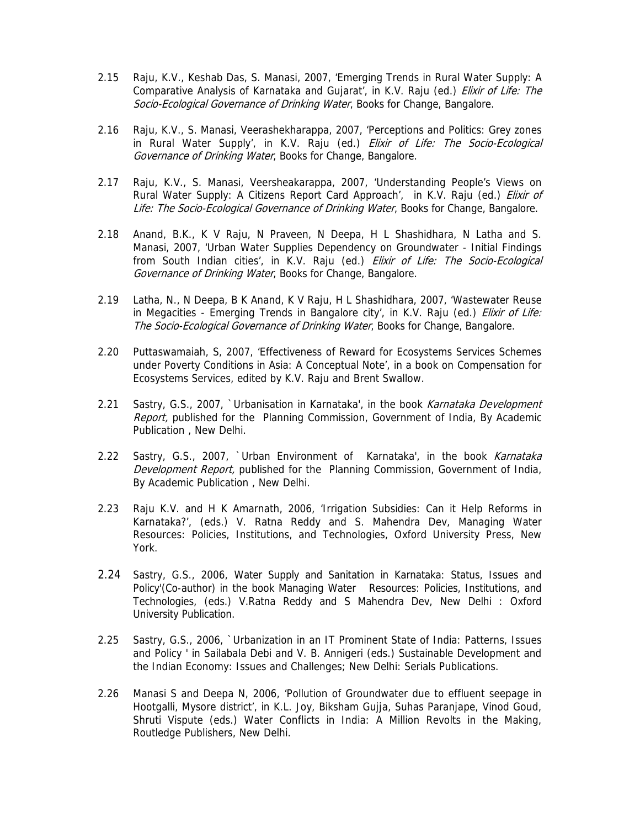- 2.15 Raju, K.V., Keshab Das, S. Manasi, 2007, 'Emerging Trends in Rural Water Supply: A Comparative Analysis of Karnataka and Gujarat', in K.V. Raju (ed.) *Elixir of Life: The* Socio-Ecological Governance of Drinking Water, Books for Change, Bangalore.
- 2.16 Raju, K.V., S. Manasi, Veerashekharappa, 2007, 'Perceptions and Politics: Grey zones in Rural Water Supply', in K.V. Raju (ed.) Elixir of Life: The Socio-Ecological Governance of Drinking Water, Books for Change, Bangalore.
- 2.17 Raju, K.V., S. Manasi, Veersheakarappa, 2007, 'Understanding People's Views on Rural Water Supply: A Citizens Report Card Approach', in K.V. Raju (ed.) *Elixir of* Life: The Socio-Ecological Governance of Drinking Water, Books for Change, Bangalore.
- 2.18 Anand, B.K., K V Raju, N Praveen, N Deepa, H L Shashidhara, N Latha and S. Manasi, 2007, 'Urban Water Supplies Dependency on Groundwater - Initial Findings from South Indian cities', in K.V. Raju (ed.) Elixir of Life: The Socio-Ecological Governance of Drinking Water, Books for Change, Bangalore.
- 2.19 Latha, N., N Deepa, B K Anand, K V Raju, H L Shashidhara, 2007, 'Wastewater Reuse in Megacities - Emerging Trends in Bangalore city', in K.V. Raju (ed.) *Elixir of Life:* The Socio-Ecological Governance of Drinking Water, Books for Change, Bangalore.
- 2.20 Puttaswamaiah, S, 2007, 'Effectiveness of Reward for Ecosystems Services Schemes under Poverty Conditions in Asia: A Conceptual Note', in a book on Compensation for Ecosystems Services, edited by K.V. Raju and Brent Swallow.
- 2.21 Sastry, G.S., 2007, `Urbanisation in Karnataka', in the book Karnataka Development Report, published for the Planning Commission, Government of India, By Academic Publication , New Delhi.
- 2.22 Sastry, G.S., 2007, `Urban Environment of Karnataka', in the book Karnataka Development Report, published for the Planning Commission, Government of India, By Academic Publication , New Delhi.
- 2.23 Raju K.V. and H K Amarnath, 2006, 'Irrigation Subsidies: Can it Help Reforms in Karnataka?', (eds.) V. Ratna Reddy and S. Mahendra Dev, Managing Water Resources: Policies, Institutions, and Technologies, Oxford University Press, New York.
- 2.24 Sastry, G.S., 2006, Water Supply and Sanitation in Karnataka: Status, Issues and Policy'(Co-author) in the book Managing Water Resources: Policies, Institutions, and Technologies, (eds.) V.Ratna Reddy and S Mahendra Dev, New Delhi : Oxford University Publication.
- 2.25 Sastry, G.S., 2006, `Urbanization in an IT Prominent State of India: Patterns, Issues and Policy ' in Sailabala Debi and V. B. Annigeri (eds.) Sustainable Development and the Indian Economy: Issues and Challenges; New Delhi: Serials Publications.
- 2.26 Manasi S and Deepa N, 2006, 'Pollution of Groundwater due to effluent seepage in Hootgalli, Mysore district', in K.L. Joy, Biksham Gujja, Suhas Paranjape, Vinod Goud, Shruti Vispute (eds.) Water Conflicts in India: A Million Revolts in the Making, Routledge Publishers, New Delhi.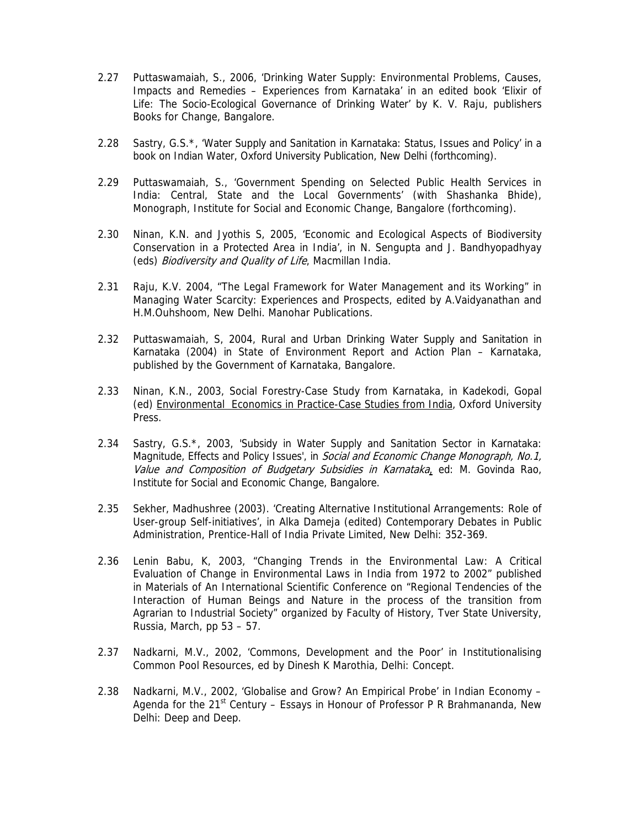- 2.27 Puttaswamaiah, S., 2006, 'Drinking Water Supply: Environmental Problems, Causes, Impacts and Remedies – Experiences from Karnataka' in an edited book 'Elixir of Life: The Socio-Ecological Governance of Drinking Water' by K. V. Raju, publishers Books for Change, Bangalore.
- 2.28 Sastry, G.S.\*, 'Water Supply and Sanitation in Karnataka: Status, Issues and Policy' in a book on Indian Water, Oxford University Publication, New Delhi (forthcoming).
- 2.29 Puttaswamaiah, S., 'Government Spending on Selected Public Health Services in India: Central, State and the Local Governments' (with Shashanka Bhide), Monograph, Institute for Social and Economic Change, Bangalore (forthcoming).
- 2.30 Ninan, K.N. and Jyothis S, 2005, 'Economic and Ecological Aspects of Biodiversity Conservation in a Protected Area in India', in N. Sengupta and J. Bandhyopadhyay (eds) Biodiversity and Quality of Life, Macmillan India.
- 2.31 Raju, K.V. 2004, "The Legal Framework for Water Management and its Working" in Managing Water Scarcity: Experiences and Prospects, edited by A.Vaidyanathan and H.M.Ouhshoom, New Delhi. Manohar Publications.
- 2.32 Puttaswamaiah, S, 2004, Rural and Urban Drinking Water Supply and Sanitation in Karnataka (2004) in State of Environment Report and Action Plan – Karnataka, published by the Government of Karnataka, Bangalore.
- 2.33 Ninan, K.N., 2003, Social Forestry-Case Study from Karnataka, in Kadekodi, Gopal (ed) Environmental Economics in Practice-Case Studies from India, Oxford University Press.
- 2.34 Sastry, G.S.\*, 2003, 'Subsidy in Water Supply and Sanitation Sector in Karnataka: Magnitude, Effects and Policy Issues', in Social and Economic Change Monograph, No.1, Value and Composition of Budgetary Subsidies in Karnataka, ed: M. Govinda Rao, Institute for Social and Economic Change, Bangalore.
- 2.35 Sekher, Madhushree (2003). 'Creating Alternative Institutional Arrangements: Role of User-group Self-initiatives', in Alka Dameja (edited) Contemporary Debates in Public Administration, Prentice-Hall of India Private Limited, New Delhi: 352-369.
- 2.36 Lenin Babu, K, 2003, "Changing Trends in the Environmental Law: A Critical Evaluation of Change in Environmental Laws in India from 1972 to 2002" published in Materials of An International Scientific Conference on "Regional Tendencies of the Interaction of Human Beings and Nature in the process of the transition from Agrarian to Industrial Society" organized by Faculty of History, Tver State University, Russia, March, pp 53 – 57.
- 2.37 Nadkarni, M.V., 2002, 'Commons, Development and the Poor' in Institutionalising Common Pool Resources, ed by Dinesh K Marothia, Delhi: Concept.
- 2.38 Nadkarni, M.V., 2002, 'Globalise and Grow? An Empirical Probe' in Indian Economy Agenda for the 21<sup>st</sup> Century – Essays in Honour of Professor P R Brahmananda, New Delhi: Deep and Deep.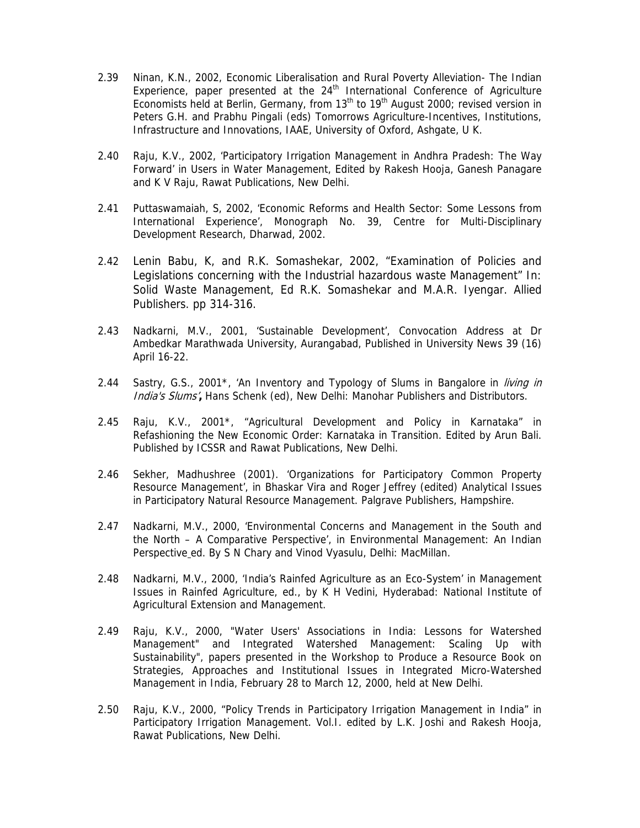- 2.39 Ninan, K.N., 2002, Economic Liberalisation and Rural Poverty Alleviation- The Indian Experience, paper presented at the  $24<sup>th</sup>$  International Conference of Agriculture Economists held at Berlin, Germany, from  $13<sup>th</sup>$  to  $19<sup>th</sup>$  August 2000; revised version in Peters G.H. and Prabhu Pingali (eds) Tomorrows Agriculture-Incentives, Institutions, Infrastructure and Innovations, IAAE, University of Oxford, Ashgate, U K.
- 2.40 Raju, K.V., 2002, 'Participatory Irrigation Management in Andhra Pradesh: The Way Forward' in Users in Water Management, Edited by Rakesh Hooja, Ganesh Panagare and K V Raju, Rawat Publications, New Delhi.
- 2.41 Puttaswamaiah, S, 2002, 'Economic Reforms and Health Sector: Some Lessons from International Experience', Monograph No. 39, Centre for Multi-Disciplinary Development Research, Dharwad, 2002.
- 2.42 Lenin Babu, K, and R.K. Somashekar, 2002, "Examination of Policies and Legislations concerning with the Industrial hazardous waste Management" In: Solid Waste Management, Ed R.K. Somashekar and M.A.R. Iyengar. Allied Publishers. pp 314-316.
- 2.43 Nadkarni, M.V., 2001, 'Sustainable Development', Convocation Address at Dr Ambedkar Marathwada University, Aurangabad, Published in University News 39 (16) April 16-22.
- 2.44 Sastry, G.S., 2001<sup>\*</sup>, 'An Inventory and Typology of Slums in Bangalore in *living in* India's Slums'**,** Hans Schenk (ed), New Delhi: Manohar Publishers and Distributors.
- 2.45 Raju, K.V., 2001\*, "Agricultural Development and Policy in Karnataka" in Refashioning the New Economic Order: Karnataka in Transition. Edited by Arun Bali. Published by ICSSR and Rawat Publications, New Delhi.
- 2.46 Sekher, Madhushree (2001). 'Organizations for Participatory Common Property Resource Management', in Bhaskar Vira and Roger Jeffrey (edited) Analytical Issues in Participatory Natural Resource Management. Palgrave Publishers, Hampshire.
- 2.47 Nadkarni, M.V., 2000, 'Environmental Concerns and Management in the South and the North – A Comparative Perspective', in Environmental Management: An Indian Perspective ed. By S N Chary and Vinod Vyasulu, Delhi: MacMillan.
- 2.48 Nadkarni, M.V., 2000, 'India's Rainfed Agriculture as an Eco-System' in Management Issues in Rainfed Agriculture, ed., by K H Vedini, Hyderabad: National Institute of Agricultural Extension and Management.
- 2.49 Raju, K.V., 2000, "Water Users' Associations in India: Lessons for Watershed Management" and Integrated Watershed Management: Scaling Up with Sustainability", papers presented in the Workshop to Produce a Resource Book on Strategies, Approaches and Institutional Issues in Integrated Micro-Watershed Management in India, February 28 to March 12, 2000, held at New Delhi.
- 2.50 Raju, K.V., 2000, "Policy Trends in Participatory Irrigation Management in India" in Participatory Irrigation Management. Vol.I. edited by L.K. Joshi and Rakesh Hooja, Rawat Publications, New Delhi.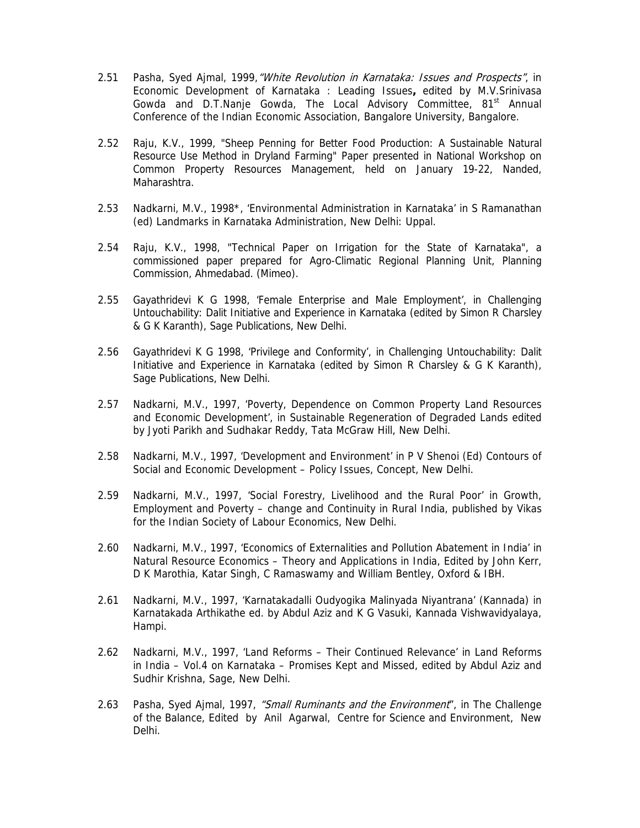- 2.51 Pasha, Syed Ajmal, 1999, "White Revolution in Karnataka: Issues and Prospects", in Economic Development of Karnataka : Leading Issues**,** edited by M.V.Srinivasa Gowda and D.T.Nanje Gowda, The Local Advisory Committee, 81<sup>st</sup> Annual Conference of the Indian Economic Association, Bangalore University, Bangalore.
- 2.52 Raju, K.V., 1999, "Sheep Penning for Better Food Production: A Sustainable Natural Resource Use Method in Dryland Farming" Paper presented in National Workshop on Common Property Resources Management, held on January 19-22, Nanded, Maharashtra.
- 2.53 Nadkarni, M.V., 1998\*, 'Environmental Administration in Karnataka' in S Ramanathan (ed) Landmarks in Karnataka Administration, New Delhi: Uppal.
- 2.54 Raju, K.V., 1998, "Technical Paper on Irrigation for the State of Karnataka", a commissioned paper prepared for Agro-Climatic Regional Planning Unit, Planning Commission, Ahmedabad. (Mimeo).
- 2.55 Gayathridevi K G 1998, 'Female Enterprise and Male Employment', in Challenging Untouchability: Dalit Initiative and Experience in Karnataka (edited by Simon R Charsley & G K Karanth), Sage Publications, New Delhi.
- 2.56 Gayathridevi K G 1998, 'Privilege and Conformity', in Challenging Untouchability: Dalit Initiative and Experience in Karnataka (edited by Simon R Charsley & G K Karanth), Sage Publications, New Delhi.
- 2.57 Nadkarni, M.V., 1997, 'Poverty, Dependence on Common Property Land Resources and Economic Development', in Sustainable Regeneration of Degraded Lands edited by Jyoti Parikh and Sudhakar Reddy, Tata McGraw Hill, New Delhi.
- 2.58 Nadkarni, M.V., 1997, 'Development and Environment' in P V Shenoi (Ed) Contours of Social and Economic Development – Policy Issues, Concept, New Delhi.
- 2.59 Nadkarni, M.V., 1997, 'Social Forestry, Livelihood and the Rural Poor' in Growth, Employment and Poverty – change and Continuity in Rural India, published by Vikas for the Indian Society of Labour Economics, New Delhi.
- 2.60 Nadkarni, M.V., 1997, 'Economics of Externalities and Pollution Abatement in India' in Natural Resource Economics – Theory and Applications in India, Edited by John Kerr, D K Marothia, Katar Singh, C Ramaswamy and William Bentley, Oxford & IBH.
- 2.61 Nadkarni, M.V., 1997, 'Karnatakadalli Oudyogika Malinyada Niyantrana' (Kannada) in Karnatakada Arthikathe ed. by Abdul Aziz and K G Vasuki, Kannada Vishwavidyalaya, Hampi.
- 2.62 Nadkarni, M.V., 1997, 'Land Reforms Their Continued Relevance' in Land Reforms in India – Vol.4 on Karnataka – Promises Kept and Missed, edited by Abdul Aziz and Sudhir Krishna, Sage, New Delhi.
- 2.63 Pasha, Syed Ajmal, 1997, *"Small Ruminants and the Environment*", in The Challenge of the Balance, Edited by Anil Agarwal, Centre for Science and Environment, New Delhi.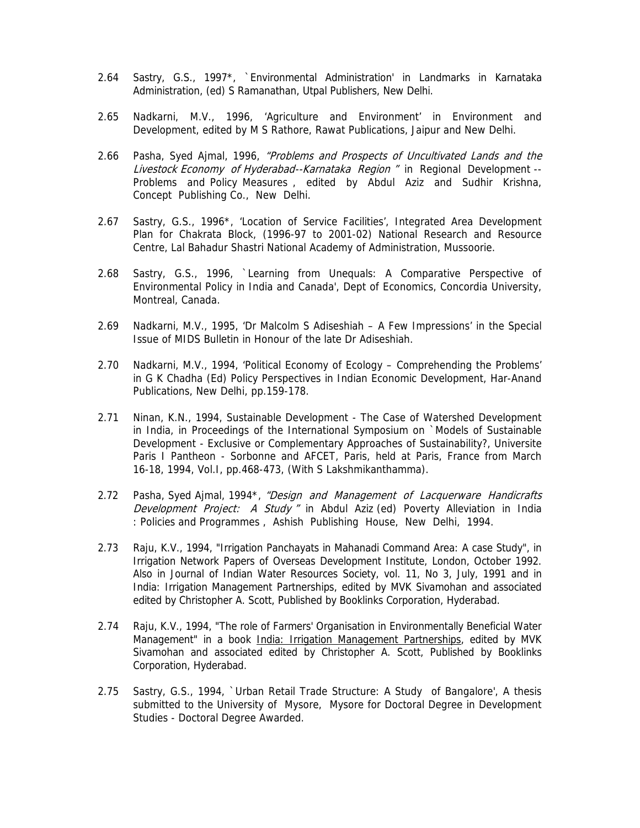- 2.64 Sastry, G.S., 1997\*, `Environmental Administration' in Landmarks in Karnataka Administration, (ed) S Ramanathan, Utpal Publishers, New Delhi.
- 2.65 Nadkarni, M.V., 1996, 'Agriculture and Environment' in Environment and Development, edited by M S Rathore, Rawat Publications, Jaipur and New Delhi.
- 2.66 Pasha, Syed Ajmal, 1996, "Problems and Prospects of Uncultivated Lands and the Livestock Economy of Hyderabad--Karnataka Region " in Regional Development --Problems and Policy Measures , edited by Abdul Aziz and Sudhir Krishna, Concept Publishing Co., New Delhi.
- 2.67 Sastry, G.S., 1996\*, 'Location of Service Facilities', Integrated Area Development Plan for Chakrata Block, (1996-97 to 2001-02) National Research and Resource Centre, Lal Bahadur Shastri National Academy of Administration, Mussoorie.
- 2.68 Sastry, G.S., 1996, `Learning from Unequals: A Comparative Perspective of Environmental Policy in India and Canada', Dept of Economics, Concordia University, Montreal, Canada.
- 2.69 Nadkarni, M.V., 1995, 'Dr Malcolm S Adiseshiah A Few Impressions' in the Special Issue of MIDS Bulletin in Honour of the late Dr Adiseshiah.
- 2.70 Nadkarni, M.V., 1994, 'Political Economy of Ecology Comprehending the Problems' in G K Chadha (Ed) Policy Perspectives in Indian Economic Development, Har-Anand Publications, New Delhi, pp.159-178.
- 2.71 Ninan, K.N., 1994, Sustainable Development The Case of Watershed Development in India, in Proceedings of the International Symposium on `Models of Sustainable Development - Exclusive or Complementary Approaches of Sustainability?, Universite Paris I Pantheon - Sorbonne and AFCET, Paris, held at Paris, France from March 16-18, 1994, Vol.I, pp.468-473, (With S Lakshmikanthamma).
- 2.72 Pasha, Syed Ajmal, 1994\*, "Design and Management of Lacquerware Handicrafts Development Project: A Study " in Abdul Aziz (ed) Poverty Alleviation in India : Policies and Programmes , Ashish Publishing House, New Delhi, 1994.
- 2.73 Raju, K.V., 1994, "Irrigation Panchayats in Mahanadi Command Area: A case Study", in Irrigation Network Papers of Overseas Development Institute, London, October 1992. Also in Journal of Indian Water Resources Society, vol. 11, No 3, July, 1991 and in India: Irrigation Management Partnerships, edited by MVK Sivamohan and associated edited by Christopher A. Scott, Published by Booklinks Corporation, Hyderabad.
- 2.74 Raju, K.V., 1994, "The role of Farmers' Organisation in Environmentally Beneficial Water Management" in a book India: Irrigation Management Partnerships, edited by MVK Sivamohan and associated edited by Christopher A. Scott, Published by Booklinks Corporation, Hyderabad.
- 2.75 Sastry, G.S., 1994, `Urban Retail Trade Structure: A Study of Bangalore', A thesis submitted to the University of Mysore, Mysore for Doctoral Degree in Development Studies - Doctoral Degree Awarded.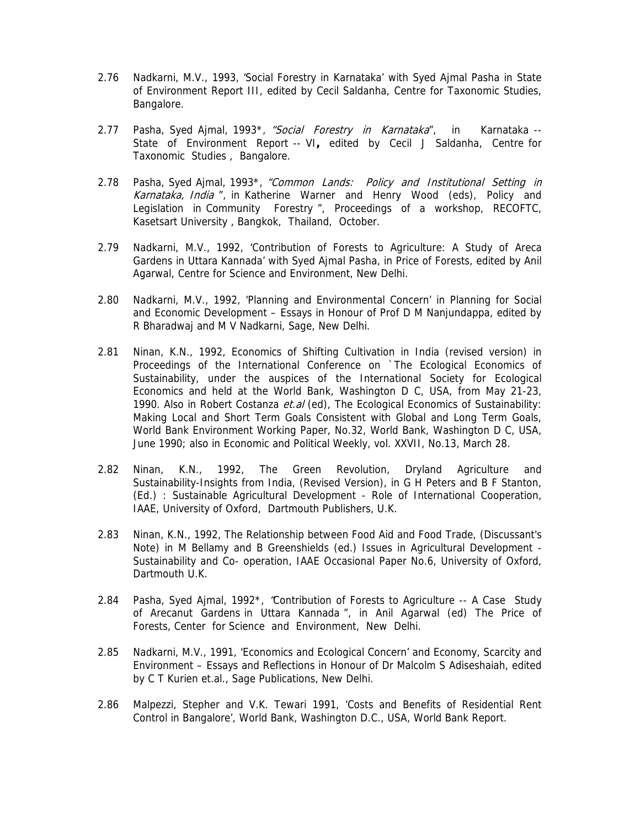- 2.76 Nadkarni, M.V., 1993, 'Social Forestry in Karnataka' with Syed Ajmal Pasha in State of Environment Report III, edited by Cecil Saldanha, Centre for Taxonomic Studies, Bangalore.
- 2.77 Pasha, Syed Ajmal, 1993<sup>\*</sup>, "Social Forestry in Karnataka", in Karnataka --State of Environment Report -- VI**,** edited by Cecil J Saldanha, Centre for Taxonomic Studies , Bangalore.
- 2.78 Pasha, Syed Ajmal, 1993\*, "Common Lands: Policy and Institutional Setting in Karnataka, India ", in Katherine Warner and Henry Wood (eds), Policy and Legislation in Community Forestry ", Proceedings of a workshop, RECOFTC, Kasetsart University , Bangkok, Thailand, October.
- 2.79 Nadkarni, M.V., 1992, 'Contribution of Forests to Agriculture: A Study of Areca Gardens in Uttara Kannada' with Syed Ajmal Pasha, in Price of Forests, edited by Anil Agarwal, Centre for Science and Environment, New Delhi.
- 2.80 Nadkarni, M.V., 1992, 'Planning and Environmental Concern' in Planning for Social and Economic Development – Essays in Honour of Prof D M Nanjundappa, edited by R Bharadwaj and M V Nadkarni, Sage, New Delhi.
- 2.81 Ninan, K.N., 1992, Economics of Shifting Cultivation in India (revised version) in Proceedings of the International Conference on `The Ecological Economics of Sustainability, under the auspices of the International Society for Ecological Economics and held at the World Bank, Washington D C, USA, from May 21-23, 1990. Also in Robert Costanza et. al (ed), The Ecological Economics of Sustainability: Making Local and Short Term Goals Consistent with Global and Long Term Goals, World Bank Environment Working Paper, No.32, World Bank, Washington D C, USA, June 1990; also in Economic and Political Weekly, vol. XXVII, No.13, March 28.
- 2.82 Ninan, K.N., 1992, The Green Revolution, Dryland Agriculture and Sustainability-Insights from India, (Revised Version), in G H Peters and B F Stanton, (Ed.) : Sustainable Agricultural Development - Role of International Cooperation, IAAE, University of Oxford, Dartmouth Publishers, U.K.
- 2.83 Ninan, K.N., 1992, The Relationship between Food Aid and Food Trade, (Discussant's Note) in M Bellamy and B Greenshields (ed.) Issues in Agricultural Development - Sustainability and Co- operation, IAAE Occasional Paper No.6, University of Oxford, Dartmouth U.K.
- 2.84 Pasha, Syed Ajmal, 1992\*, "Contribution of Forests to Agriculture -- A Case Study of Arecanut Gardens in Uttara Kannada ", in Anil Agarwal (ed) The Price of Forests, Center for Science and Environment, New Delhi.
- 2.85 Nadkarni, M.V., 1991, 'Economics and Ecological Concern' and Economy, Scarcity and Environment – Essays and Reflections in Honour of Dr Malcolm S Adiseshaiah, edited by C T Kurien et.al., Sage Publications, New Delhi.
- 2.86 Malpezzi, Stepher and V.K. Tewari 1991, 'Costs and Benefits of Residential Rent Control in Bangalore', World Bank, Washington D.C., USA, World Bank Report.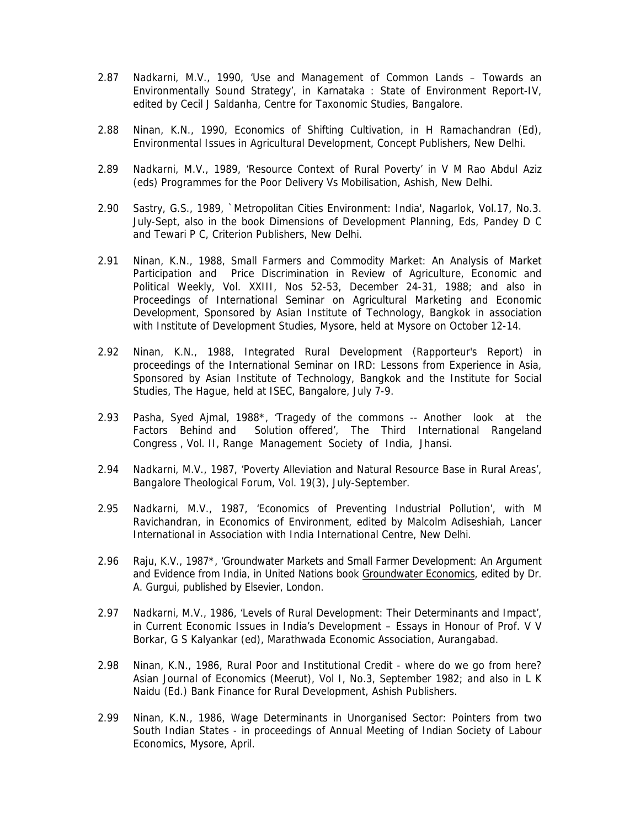- 2.87 Nadkarni, M.V., 1990, 'Use and Management of Common Lands Towards an Environmentally Sound Strategy', in Karnataka : State of Environment Report-IV, edited by Cecil J Saldanha, Centre for Taxonomic Studies, Bangalore.
- 2.88 Ninan, K.N., 1990, Economics of Shifting Cultivation, in H Ramachandran (Ed), Environmental Issues in Agricultural Development, Concept Publishers, New Delhi.
- 2.89 Nadkarni, M.V., 1989, 'Resource Context of Rural Poverty' in V M Rao Abdul Aziz (eds) Programmes for the Poor Delivery Vs Mobilisation, Ashish, New Delhi.
- 2.90 Sastry, G.S., 1989, `Metropolitan Cities Environment: India', Nagarlok, Vol.17, No.3. July-Sept, also in the book Dimensions of Development Planning, Eds, Pandey D C and Tewari P C, Criterion Publishers, New Delhi.
- 2.91 Ninan, K.N., 1988, Small Farmers and Commodity Market: An Analysis of Market Participation and Price Discrimination in Review of Agriculture, Economic and Political Weekly, Vol. XXIII, Nos 52-53, December 24-31, 1988; and also in Proceedings of International Seminar on Agricultural Marketing and Economic Development, Sponsored by Asian Institute of Technology, Bangkok in association with Institute of Development Studies, Mysore, held at Mysore on October 12-14.
- 2.92 Ninan, K.N., 1988, Integrated Rural Development (Rapporteur's Report) in proceedings of the International Seminar on IRD: Lessons from Experience in Asia, Sponsored by Asian Institute of Technology, Bangkok and the Institute for Social Studies, The Hague, held at ISEC, Bangalore, July 7-9.
- 2.93 Pasha, Syed Ajmal, 1988\*, 'Tragedy of the commons -- Another look at the Factors Behind and Solution offered', The Third International Rangeland Congress , Vol. II, Range Management Society of India, Jhansi.
- 2.94 Nadkarni, M.V., 1987, 'Poverty Alleviation and Natural Resource Base in Rural Areas', Bangalore Theological Forum, Vol. 19(3), July-September.
- 2.95 Nadkarni, M.V., 1987, 'Economics of Preventing Industrial Pollution', with M Ravichandran, in Economics of Environment, edited by Malcolm Adiseshiah, Lancer International in Association with India International Centre, New Delhi.
- 2.96 Raju, K.V., 1987\*, 'Groundwater Markets and Small Farmer Development: An Argument and Evidence from India, in United Nations book Groundwater Economics, edited by Dr. A. Gurgui, published by Elsevier, London.
- 2.97 Nadkarni, M.V., 1986, 'Levels of Rural Development: Their Determinants and Impact', in Current Economic Issues in India's Development – Essays in Honour of Prof. V V Borkar, G S Kalyankar (ed), Marathwada Economic Association, Aurangabad.
- 2.98 Ninan, K.N., 1986, Rural Poor and Institutional Credit where do we go from here? Asian Journal of Economics (Meerut), Vol I, No.3, September 1982; and also in L K Naidu (Ed.) Bank Finance for Rural Development, Ashish Publishers.
- 2.99 Ninan, K.N., 1986, Wage Determinants in Unorganised Sector: Pointers from two South Indian States - in proceedings of Annual Meeting of Indian Society of Labour Economics, Mysore, April.